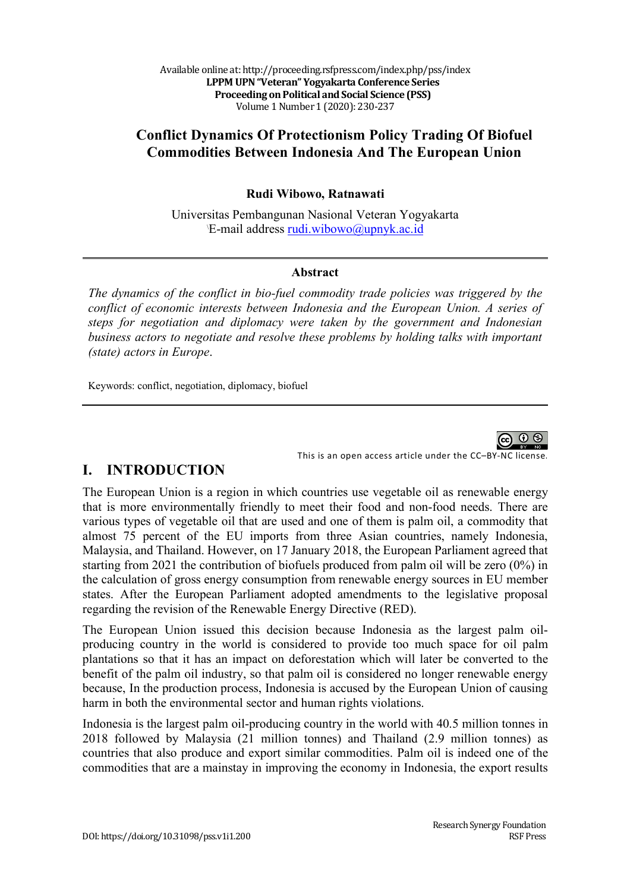Available online at: http://proceeding.rsfpress.com/index.php/pss/index **LPPM UPN "Veteran" Yogyakarta Conference Series Proceeding on Political and Social Science (PSS)** Volume 1 Number 1 (2020): 230-237

# **Conflict Dynamics Of Protectionism Policy Trading Of Biofuel Commodities Between Indonesia And The European Union**

### **Rudi Wibowo, Ratnawati**

Universitas Pembangunan Nasional Veteran Yogyakarta E-mail address rudi.wibowo@upnyk.ac.id

### **Abstract**

*The dynamics of the conflict in bio-fuel commodity trade policies was triggered by the conflict of economic interests between Indonesia and the European Union. A series of steps for negotiation and diplomacy were taken by the government and Indonesian business actors to negotiate and resolve these problems by holding talks with important (state) actors in Europe*.

Keywords: conflict, negotiation, diplomacy, biofuel



#### This is an open access article under the CC–BY-NC license.

# **I. INTRODUCTION**

The European Union is a region in which countries use vegetable oil as renewable energy that is more environmentally friendly to meet their food and non-food needs. There are various types of vegetable oil that are used and one of them is palm oil, a commodity that almost 75 percent of the EU imports from three Asian countries, namely Indonesia, Malaysia, and Thailand. However, on 17 January 2018, the European Parliament agreed that starting from 2021 the contribution of biofuels produced from palm oil will be zero (0%) in the calculation of gross energy consumption from renewable energy sources in EU member states. After the European Parliament adopted amendments to the legislative proposal regarding the revision of the Renewable Energy Directive (RED).

The European Union issued this decision because Indonesia as the largest palm oilproducing country in the world is considered to provide too much space for oil palm plantations so that it has an impact on deforestation which will later be converted to the benefit of the palm oil industry, so that palm oil is considered no longer renewable energy because, In the production process, Indonesia is accused by the European Union of causing harm in both the environmental sector and human rights violations.

Indonesia is the largest palm oil-producing country in the world with 40.5 million tonnes in 2018 followed by Malaysia (21 million tonnes) and Thailand (2.9 million tonnes) as countries that also produce and export similar commodities. Palm oil is indeed one of the commodities that are a mainstay in improving the economy in Indonesia, the export results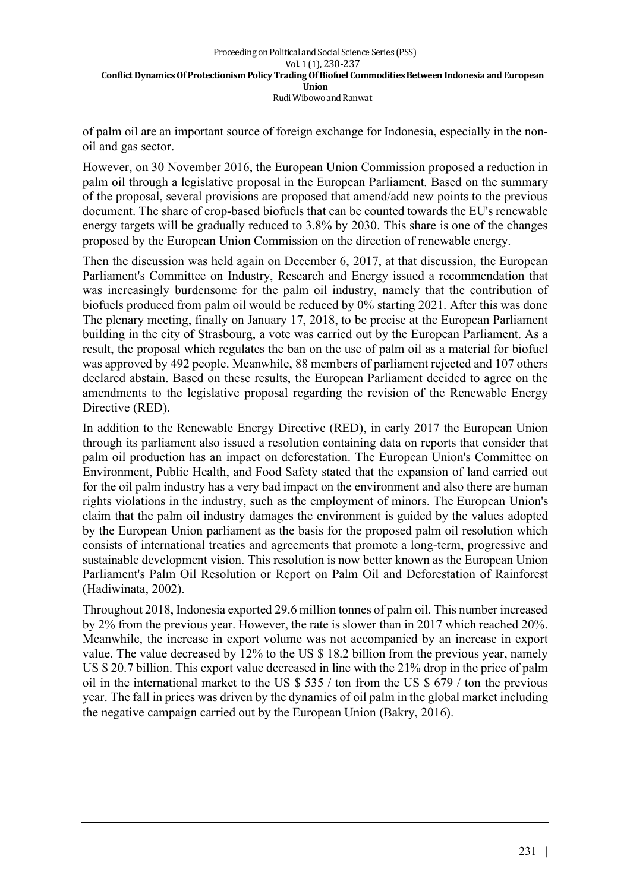of palm oil are an important source of foreign exchange for Indonesia, especially in the nonoil and gas sector.

However, on 30 November 2016, the European Union Commission proposed a reduction in palm oil through a legislative proposal in the European Parliament. Based on the summary of the proposal, several provisions are proposed that amend/add new points to the previous document. The share of crop-based biofuels that can be counted towards the EU's renewable energy targets will be gradually reduced to 3.8% by 2030. This share is one of the changes proposed by the European Union Commission on the direction of renewable energy.

Then the discussion was held again on December 6, 2017, at that discussion, the European Parliament's Committee on Industry, Research and Energy issued a recommendation that was increasingly burdensome for the palm oil industry, namely that the contribution of biofuels produced from palm oil would be reduced by 0% starting 2021. After this was done The plenary meeting, finally on January 17, 2018, to be precise at the European Parliament building in the city of Strasbourg, a vote was carried out by the European Parliament. As a result, the proposal which regulates the ban on the use of palm oil as a material for biofuel was approved by 492 people. Meanwhile, 88 members of parliament rejected and 107 others declared abstain. Based on these results, the European Parliament decided to agree on the amendments to the legislative proposal regarding the revision of the Renewable Energy Directive (RED).

In addition to the Renewable Energy Directive (RED), in early 2017 the European Union through its parliament also issued a resolution containing data on reports that consider that palm oil production has an impact on deforestation. The European Union's Committee on Environment, Public Health, and Food Safety stated that the expansion of land carried out for the oil palm industry has a very bad impact on the environment and also there are human rights violations in the industry, such as the employment of minors. The European Union's claim that the palm oil industry damages the environment is guided by the values adopted by the European Union parliament as the basis for the proposed palm oil resolution which consists of international treaties and agreements that promote a long-term, progressive and sustainable development vision. This resolution is now better known as the European Union Parliament's Palm Oil Resolution or Report on Palm Oil and Deforestation of Rainforest (Hadiwinata, 2002).

Throughout 2018, Indonesia exported 29.6 million tonnes of palm oil. This number increased by 2% from the previous year. However, the rate is slower than in 2017 which reached 20%. Meanwhile, the increase in export volume was not accompanied by an increase in export value. The value decreased by 12% to the US \$ 18.2 billion from the previous year, namely US \$ 20.7 billion. This export value decreased in line with the 21% drop in the price of palm oil in the international market to the US \$ 535 / ton from the US \$ 679 / ton the previous year. The fall in prices was driven by the dynamics of oil palm in the global market including the negative campaign carried out by the European Union (Bakry, 2016).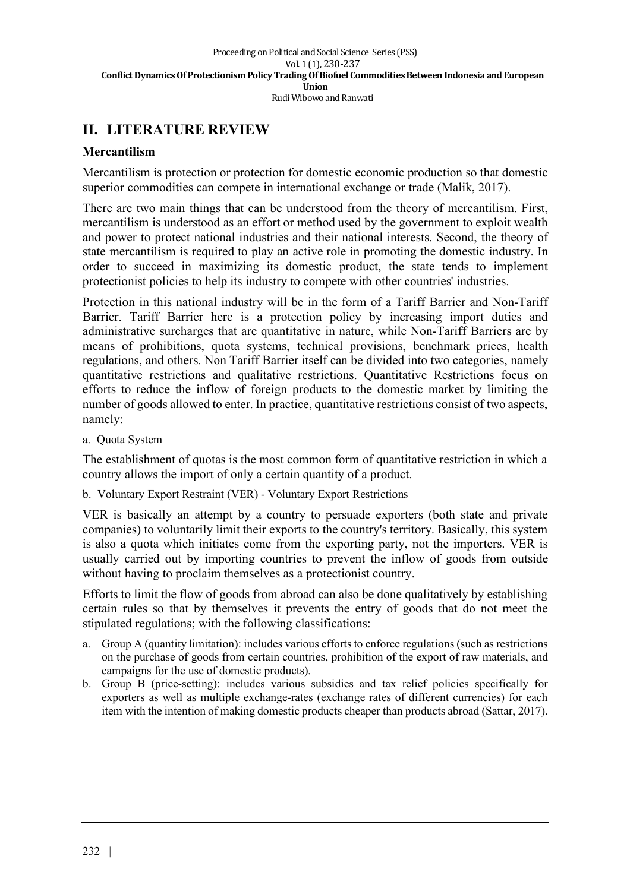# **II. LITERATURE REVIEW**

### **Mercantilism**

Mercantilism is protection or protection for domestic economic production so that domestic superior commodities can compete in international exchange or trade (Malik, 2017).

There are two main things that can be understood from the theory of mercantilism. First, mercantilism is understood as an effort or method used by the government to exploit wealth and power to protect national industries and their national interests. Second, the theory of state mercantilism is required to play an active role in promoting the domestic industry. In order to succeed in maximizing its domestic product, the state tends to implement protectionist policies to help its industry to compete with other countries' industries.

Protection in this national industry will be in the form of a Tariff Barrier and Non-Tariff Barrier. Tariff Barrier here is a protection policy by increasing import duties and administrative surcharges that are quantitative in nature, while Non-Tariff Barriers are by means of prohibitions, quota systems, technical provisions, benchmark prices, health regulations, and others. Non Tariff Barrier itself can be divided into two categories, namely quantitative restrictions and qualitative restrictions. Quantitative Restrictions focus on efforts to reduce the inflow of foreign products to the domestic market by limiting the number of goods allowed to enter. In practice, quantitative restrictions consist of two aspects, namely:

a. Quota System

The establishment of quotas is the most common form of quantitative restriction in which a country allows the import of only a certain quantity of a product.

b. Voluntary Export Restraint (VER) - Voluntary Export Restrictions

VER is basically an attempt by a country to persuade exporters (both state and private companies) to voluntarily limit their exports to the country's territory. Basically, this system is also a quota which initiates come from the exporting party, not the importers. VER is usually carried out by importing countries to prevent the inflow of goods from outside without having to proclaim themselves as a protectionist country.

Efforts to limit the flow of goods from abroad can also be done qualitatively by establishing certain rules so that by themselves it prevents the entry of goods that do not meet the stipulated regulations; with the following classifications:

- a. Group A (quantity limitation): includes various efforts to enforce regulations (such as restrictions on the purchase of goods from certain countries, prohibition of the export of raw materials, and campaigns for the use of domestic products).
- b. Group B (price-setting): includes various subsidies and tax relief policies specifically for exporters as well as multiple exchange-rates (exchange rates of different currencies) for each item with the intention of making domestic products cheaper than products abroad (Sattar, 2017).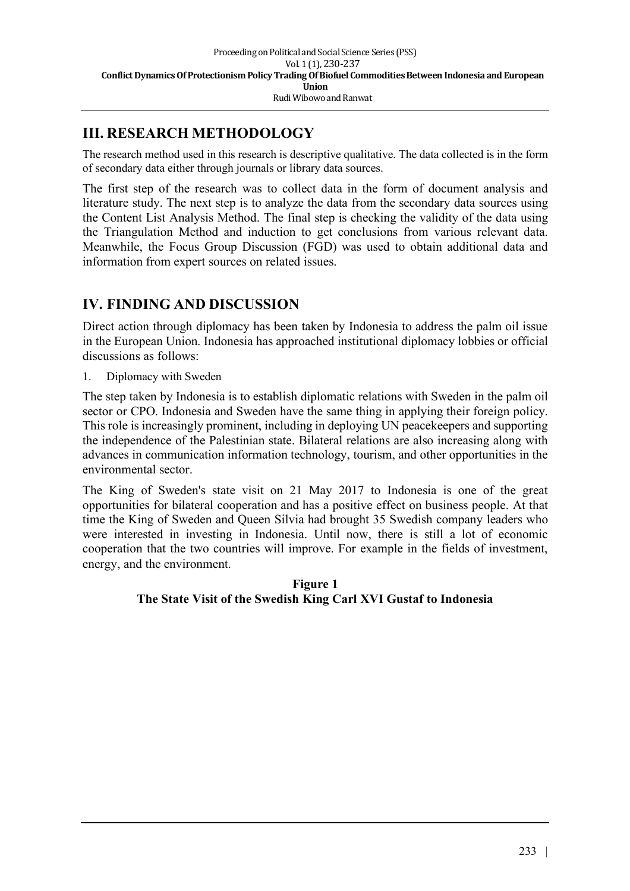## **III. RESEARCH METHODOLOGY**

The research method used in this research is descriptive qualitative. The data collected is in the form of secondary data either through journals or library data sources.

The first step of the research was to collect data in the form of document analysis and literature study. The next step is to analyze the data from the secondary data sources using the Content List Analysis Method. The final step is checking the validity of the data using the Triangulation Method and induction to get conclusions from various relevant data. Meanwhile, the Focus Group Discussion (FGD) was used to obtain additional data and information from expert sources on related issues.

## **IV. FINDING AND DISCUSSION**

Direct action through diplomacy has been taken by Indonesia to address the palm oil issue in the European Union. Indonesia has approached institutional diplomacy lobbies or official discussions as follows:

1. Diplomacy with Sweden

The step taken by Indonesia is to establish diplomatic relations with Sweden in the palm oil sector or CPO. Indonesia and Sweden have the same thing in applying their foreign policy. This role is increasingly prominent, including in deploying UN peacekeepers and supporting the independence of the Palestinian state. Bilateral relations are also increasing along with advances in communication information technology, tourism, and other opportunities in the environmental sector.

The King of Sweden's state visit on 21 May 2017 to Indonesia is one of the great opportunities for bilateral cooperation and has a positive effect on business people. At that time the King of Sweden and Queen Silvia had brought 35 Swedish company leaders who were interested in investing in Indonesia. Until now, there is still a lot of economic cooperation that the two countries will improve. For example in the fields of investment, energy, and the environment.

> **Figure 1 The State Visit of the Swedish King Carl XVI Gustaf to Indonesia**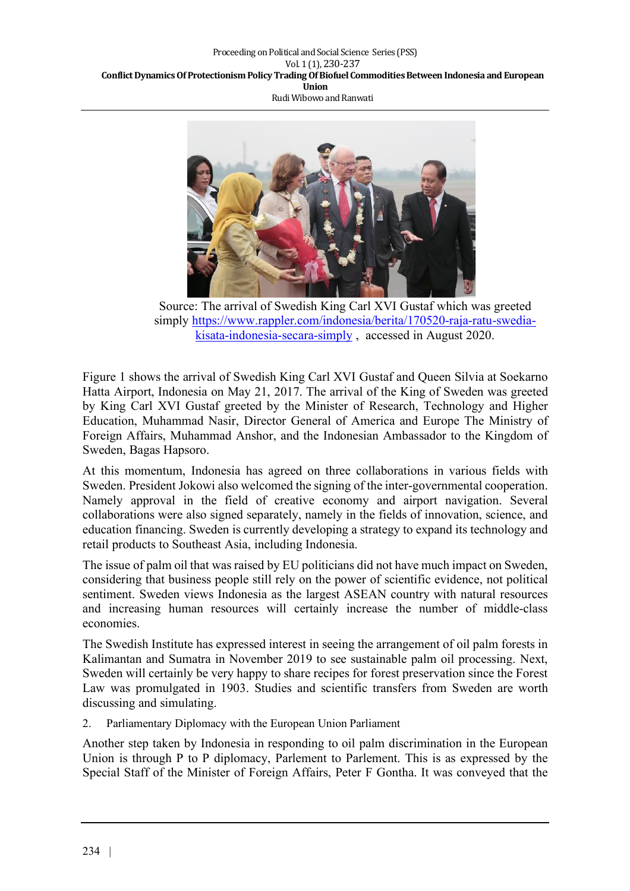

Source: The arrival of Swedish King Carl XVI Gustaf which was greeted simply https://www.rappler.com/indonesia/berita/170520-raja-ratu-swediakisata-indonesia-secara-simply , accessed in August 2020.

Figure 1 shows the arrival of Swedish King Carl XVI Gustaf and Queen Silvia at Soekarno Hatta Airport, Indonesia on May 21, 2017. The arrival of the King of Sweden was greeted by King Carl XVI Gustaf greeted by the Minister of Research, Technology and Higher Education, Muhammad Nasir, Director General of America and Europe The Ministry of Foreign Affairs, Muhammad Anshor, and the Indonesian Ambassador to the Kingdom of Sweden, Bagas Hapsoro.

At this momentum, Indonesia has agreed on three collaborations in various fields with Sweden. President Jokowi also welcomed the signing of the inter-governmental cooperation. Namely approval in the field of creative economy and airport navigation. Several collaborations were also signed separately, namely in the fields of innovation, science, and education financing. Sweden is currently developing a strategy to expand its technology and retail products to Southeast Asia, including Indonesia.

The issue of palm oil that was raised by EU politicians did not have much impact on Sweden, considering that business people still rely on the power of scientific evidence, not political sentiment. Sweden views Indonesia as the largest ASEAN country with natural resources and increasing human resources will certainly increase the number of middle-class economies.

The Swedish Institute has expressed interest in seeing the arrangement of oil palm forests in Kalimantan and Sumatra in November 2019 to see sustainable palm oil processing. Next, Sweden will certainly be very happy to share recipes for forest preservation since the Forest Law was promulgated in 1903. Studies and scientific transfers from Sweden are worth discussing and simulating.

2. Parliamentary Diplomacy with the European Union Parliament

Another step taken by Indonesia in responding to oil palm discrimination in the European Union is through P to P diplomacy, Parlement to Parlement. This is as expressed by the Special Staff of the Minister of Foreign Affairs, Peter F Gontha. It was conveyed that the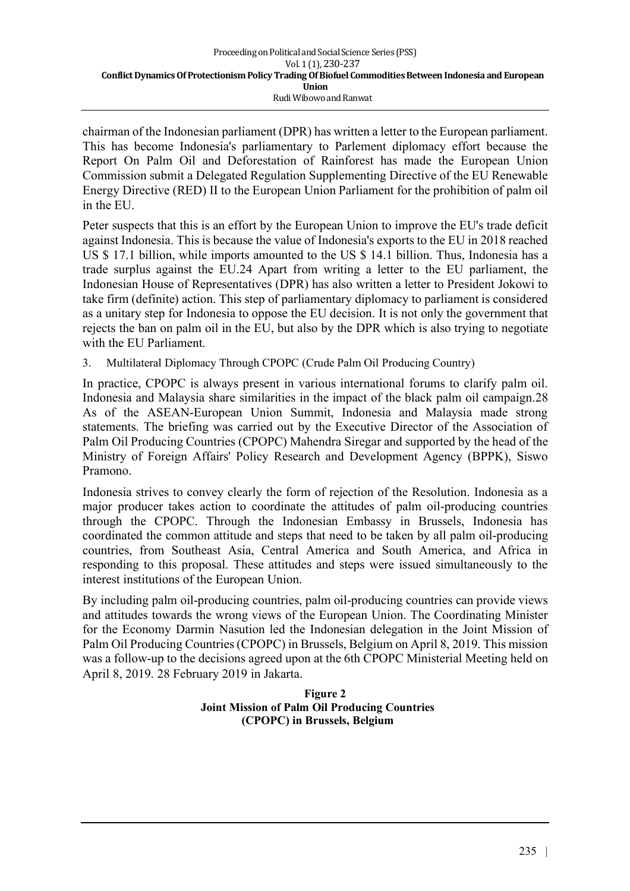chairman of the Indonesian parliament (DPR) has written a letter to the European parliament. This has become Indonesia's parliamentary to Parlement diplomacy effort because the Report On Palm Oil and Deforestation of Rainforest has made the European Union Commission submit a Delegated Regulation Supplementing Directive of the EU Renewable Energy Directive (RED) II to the European Union Parliament for the prohibition of palm oil in the EU.

Peter suspects that this is an effort by the European Union to improve the EU's trade deficit against Indonesia. This is because the value of Indonesia's exports to the EU in 2018 reached US \$ 17.1 billion, while imports amounted to the US \$ 14.1 billion. Thus, Indonesia has a trade surplus against the EU.24 Apart from writing a letter to the EU parliament, the Indonesian House of Representatives (DPR) has also written a letter to President Jokowi to take firm (definite) action. This step of parliamentary diplomacy to parliament is considered as a unitary step for Indonesia to oppose the EU decision. It is not only the government that rejects the ban on palm oil in the EU, but also by the DPR which is also trying to negotiate with the EU Parliament.

3. Multilateral Diplomacy Through CPOPC (Crude Palm Oil Producing Country)

In practice, CPOPC is always present in various international forums to clarify palm oil. Indonesia and Malaysia share similarities in the impact of the black palm oil campaign.28 As of the ASEAN-European Union Summit, Indonesia and Malaysia made strong statements. The briefing was carried out by the Executive Director of the Association of Palm Oil Producing Countries (CPOPC) Mahendra Siregar and supported by the head of the Ministry of Foreign Affairs' Policy Research and Development Agency (BPPK), Siswo Pramono.

Indonesia strives to convey clearly the form of rejection of the Resolution. Indonesia as a major producer takes action to coordinate the attitudes of palm oil-producing countries through the CPOPC. Through the Indonesian Embassy in Brussels, Indonesia has coordinated the common attitude and steps that need to be taken by all palm oil-producing countries, from Southeast Asia, Central America and South America, and Africa in responding to this proposal. These attitudes and steps were issued simultaneously to the interest institutions of the European Union.

By including palm oil-producing countries, palm oil-producing countries can provide views and attitudes towards the wrong views of the European Union. The Coordinating Minister for the Economy Darmin Nasution led the Indonesian delegation in the Joint Mission of Palm Oil Producing Countries (CPOPC) in Brussels, Belgium on April 8, 2019. This mission was a follow-up to the decisions agreed upon at the 6th CPOPC Ministerial Meeting held on April 8, 2019. 28 February 2019 in Jakarta.

#### **Figure 2 Joint Mission of Palm Oil Producing Countries (CPOPC) in Brussels, Belgium**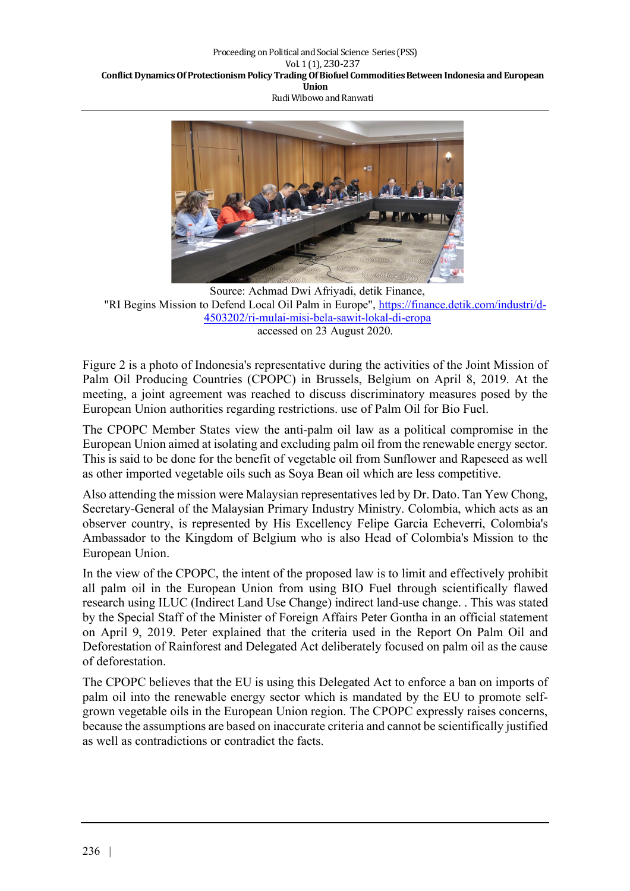

Source: Achmad Dwi Afriyadi, detik Finance, "RI Begins Mission to Defend Local Oil Palm in Europe", https://finance.detik.com/industri/d-4503202/ri-mulai-misi-bela-sawit-lokal-di-eropa accessed on 23 August 2020.

Figure 2 is a photo of Indonesia's representative during the activities of the Joint Mission of Palm Oil Producing Countries (CPOPC) in Brussels, Belgium on April 8, 2019. At the meeting, a joint agreement was reached to discuss discriminatory measures posed by the European Union authorities regarding restrictions. use of Palm Oil for Bio Fuel.

The CPOPC Member States view the anti-palm oil law as a political compromise in the European Union aimed at isolating and excluding palm oil from the renewable energy sector. This is said to be done for the benefit of vegetable oil from Sunflower and Rapeseed as well as other imported vegetable oils such as Soya Bean oil which are less competitive.

Also attending the mission were Malaysian representatives led by Dr. Dato. Tan Yew Chong, Secretary-General of the Malaysian Primary Industry Ministry. Colombia, which acts as an observer country, is represented by His Excellency Felipe Garcia Echeverri, Colombia's Ambassador to the Kingdom of Belgium who is also Head of Colombia's Mission to the European Union.

In the view of the CPOPC, the intent of the proposed law is to limit and effectively prohibit all palm oil in the European Union from using BIO Fuel through scientifically flawed research using ILUC (Indirect Land Use Change) indirect land-use change. . This was stated by the Special Staff of the Minister of Foreign Affairs Peter Gontha in an official statement on April 9, 2019. Peter explained that the criteria used in the Report On Palm Oil and Deforestation of Rainforest and Delegated Act deliberately focused on palm oil as the cause of deforestation.

The CPOPC believes that the EU is using this Delegated Act to enforce a ban on imports of palm oil into the renewable energy sector which is mandated by the EU to promote selfgrown vegetable oils in the European Union region. The CPOPC expressly raises concerns, because the assumptions are based on inaccurate criteria and cannot be scientifically justified as well as contradictions or contradict the facts.